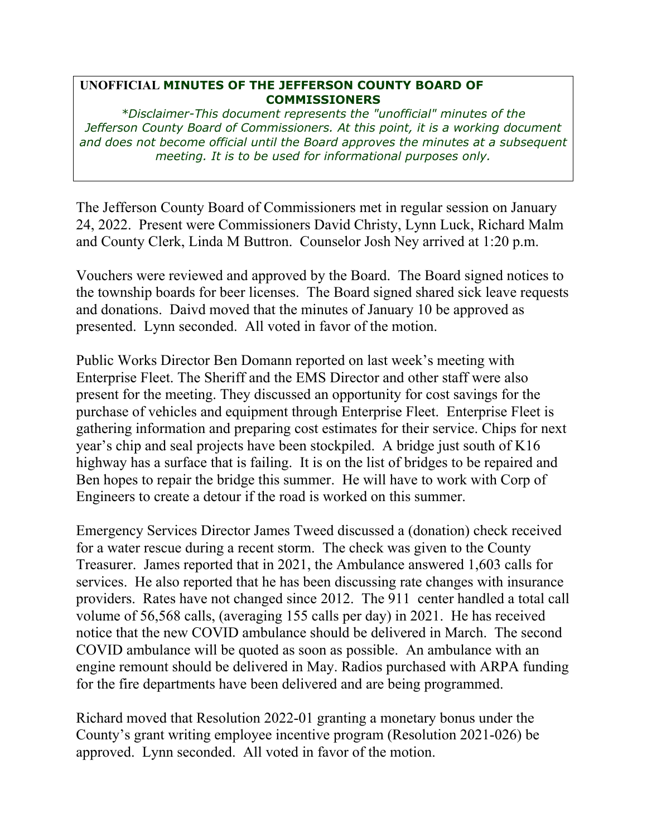## **UNOFFICIAL MINUTES OF THE JEFFERSON COUNTY BOARD OF COMMISSIONERS**

*\*Disclaimer-This document represents the "unofficial" minutes of the Jefferson County Board of Commissioners. At this point, it is a working document and does not become official until the Board approves the minutes at a subsequent meeting. It is to be used for informational purposes only.* 

The Jefferson County Board of Commissioners met in regular session on January 24, 2022. Present were Commissioners David Christy, Lynn Luck, Richard Malm and County Clerk, Linda M Buttron. Counselor Josh Ney arrived at 1:20 p.m.

Vouchers were reviewed and approved by the Board. The Board signed notices to the township boards for beer licenses. The Board signed shared sick leave requests and donations. Daivd moved that the minutes of January 10 be approved as presented. Lynn seconded. All voted in favor of the motion.

Public Works Director Ben Domann reported on last week's meeting with Enterprise Fleet. The Sheriff and the EMS Director and other staff were also present for the meeting. They discussed an opportunity for cost savings for the purchase of vehicles and equipment through Enterprise Fleet. Enterprise Fleet is gathering information and preparing cost estimates for their service. Chips for next year's chip and seal projects have been stockpiled. A bridge just south of K16 highway has a surface that is failing. It is on the list of bridges to be repaired and Ben hopes to repair the bridge this summer. He will have to work with Corp of Engineers to create a detour if the road is worked on this summer.

Emergency Services Director James Tweed discussed a (donation) check received for a water rescue during a recent storm. The check was given to the County Treasurer. James reported that in 2021, the Ambulance answered 1,603 calls for services. He also reported that he has been discussing rate changes with insurance providers. Rates have not changed since 2012. The 911 center handled a total call volume of 56,568 calls, (averaging 155 calls per day) in 2021. He has received notice that the new COVID ambulance should be delivered in March. The second COVID ambulance will be quoted as soon as possible. An ambulance with an engine remount should be delivered in May. Radios purchased with ARPA funding for the fire departments have been delivered and are being programmed.

Richard moved that Resolution 2022-01 granting a monetary bonus under the County's grant writing employee incentive program (Resolution 2021-026) be approved. Lynn seconded. All voted in favor of the motion.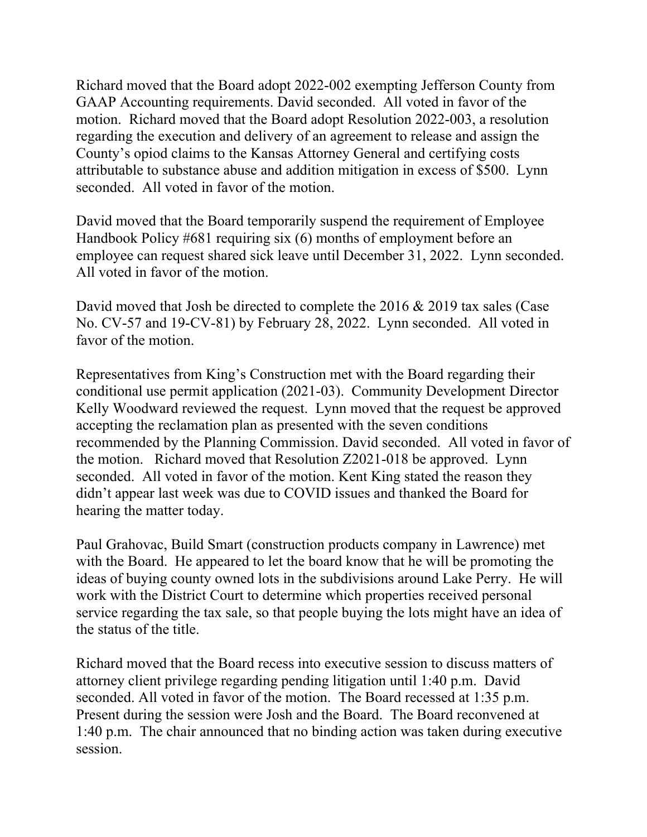Richard moved that the Board adopt 2022-002 exempting Jefferson County from GAAP Accounting requirements. David seconded. All voted in favor of the motion. Richard moved that the Board adopt Resolution 2022-003, a resolution regarding the execution and delivery of an agreement to release and assign the County's opiod claims to the Kansas Attorney General and certifying costs attributable to substance abuse and addition mitigation in excess of \$500. Lynn seconded. All voted in favor of the motion.

David moved that the Board temporarily suspend the requirement of Employee Handbook Policy #681 requiring six (6) months of employment before an employee can request shared sick leave until December 31, 2022. Lynn seconded. All voted in favor of the motion.

David moved that Josh be directed to complete the 2016 & 2019 tax sales (Case No. CV-57 and 19-CV-81) by February 28, 2022. Lynn seconded. All voted in favor of the motion.

Representatives from King's Construction met with the Board regarding their conditional use permit application (2021-03). Community Development Director Kelly Woodward reviewed the request. Lynn moved that the request be approved accepting the reclamation plan as presented with the seven conditions recommended by the Planning Commission. David seconded. All voted in favor of the motion. Richard moved that Resolution Z2021-018 be approved. Lynn seconded. All voted in favor of the motion. Kent King stated the reason they didn't appear last week was due to COVID issues and thanked the Board for hearing the matter today.

Paul Grahovac, Build Smart (construction products company in Lawrence) met with the Board. He appeared to let the board know that he will be promoting the ideas of buying county owned lots in the subdivisions around Lake Perry. He will work with the District Court to determine which properties received personal service regarding the tax sale, so that people buying the lots might have an idea of the status of the title.

Richard moved that the Board recess into executive session to discuss matters of attorney client privilege regarding pending litigation until 1:40 p.m. David seconded. All voted in favor of the motion. The Board recessed at 1:35 p.m. Present during the session were Josh and the Board. The Board reconvened at 1:40 p.m. The chair announced that no binding action was taken during executive session.